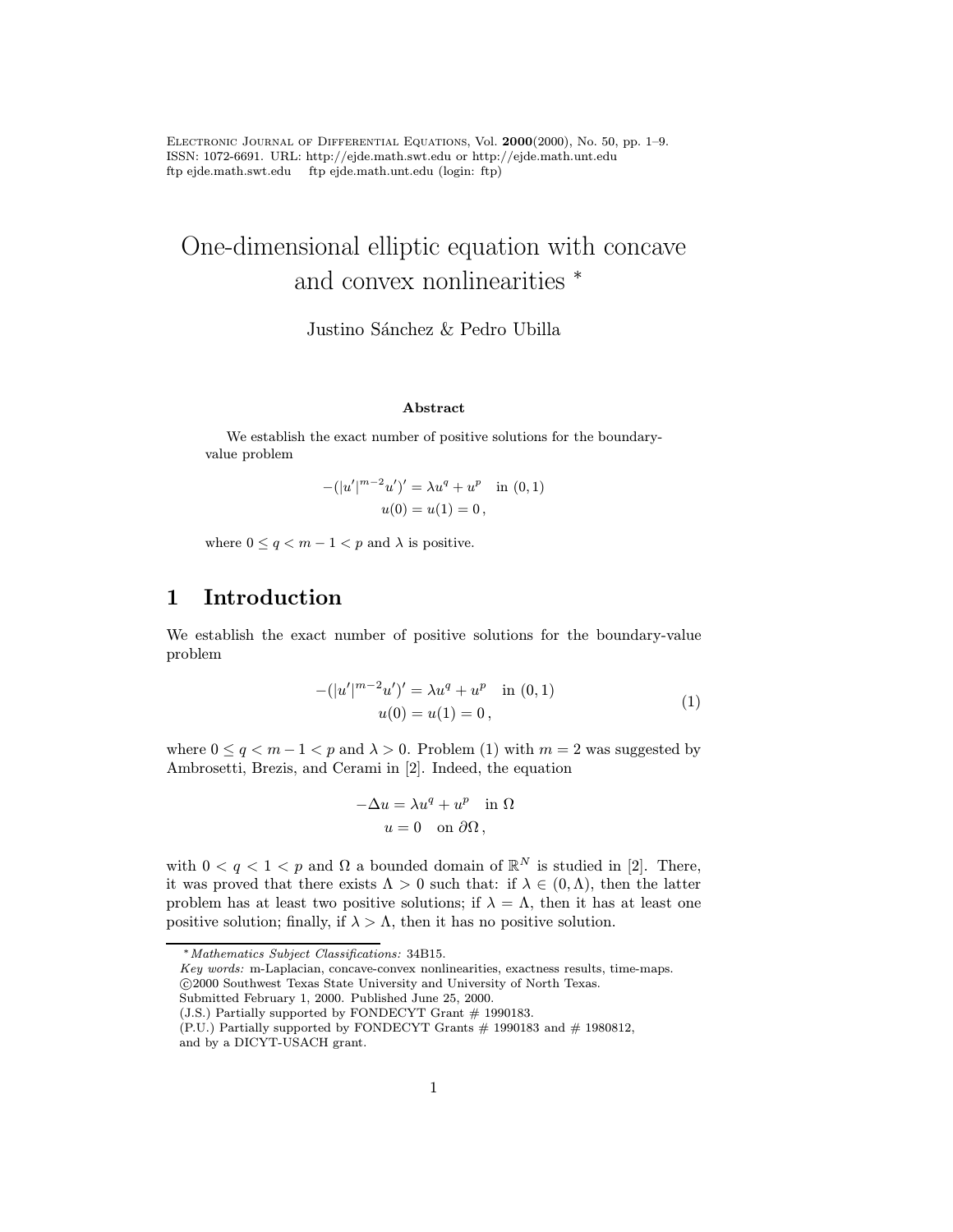Electronic Journal of Differential Equations, Vol. 2000(2000), No. 50, pp. 1–9. ISSN: 1072-6691. URL: http://ejde.math.swt.edu or http://ejde.math.unt.edu ftp ejde.math.swt.edu ftp ejde.math.unt.edu (login: ftp)

# One-dimensional elliptic equation with concave and convex nonlinearities  $*$

Justino Sánchez & Pedro Ubilla

#### Abstract

We establish the exact number of positive solutions for the boundaryvalue problem

$$
-(|u'|^{m-2}u')' = \lambda u^{q} + u^{p} \text{ in } (0,1)
$$

$$
u(0) = u(1) = 0,
$$

where  $0 \le q < m - 1 < p$  and  $\lambda$  is positive.

# 1 Introduction

We establish the exact number of positive solutions for the boundary-value problem

$$
-(|u'|^{m-2}u')' = \lambda u^{q} + u^{p} \quad \text{in } (0,1)
$$
  
 
$$
u(0) = u(1) = 0,
$$
 (1)

where  $0 \le q < m-1 < p$  and  $\lambda > 0$ . Problem (1) with  $m = 2$  was suggested by Ambrosetti, Brezis, and Cerami in [2]. Indeed, the equation

$$
-\Delta u = \lambda u^q + u^p \quad \text{in } \Omega
$$

$$
u = 0 \quad \text{on } \partial\Omega,
$$

with  $0 < q < 1 < p$  and  $\Omega$  a bounded domain of  $\mathbb{R}^N$  is studied in [2]. There, it was proved that there exists  $\Lambda > 0$  such that: if  $\lambda \in (0, \Lambda)$ , then the latter problem has at least two positive solutions; if  $\lambda = \Lambda$ , then it has at least one positive solution; finally, if  $\lambda > \Lambda$ , then it has no positive solution.

Submitted February 1, 2000. Published June 25, 2000.

<sup>∗</sup>Mathematics Subject Classifications: 34B15.

Key words: m-Laplacian, concave-convex nonlinearities, exactness results, time-maps. c 2000 Southwest Texas State University and University of North Texas.

<sup>(</sup>J.S.) Partially supported by FONDECYT Grant  $\#$  1990183.

 $(PLU)$  Partially supported by FONDECYT Grants  $#$  1990183 and  $#$  1980812,

and by a DICYT-USACH grant.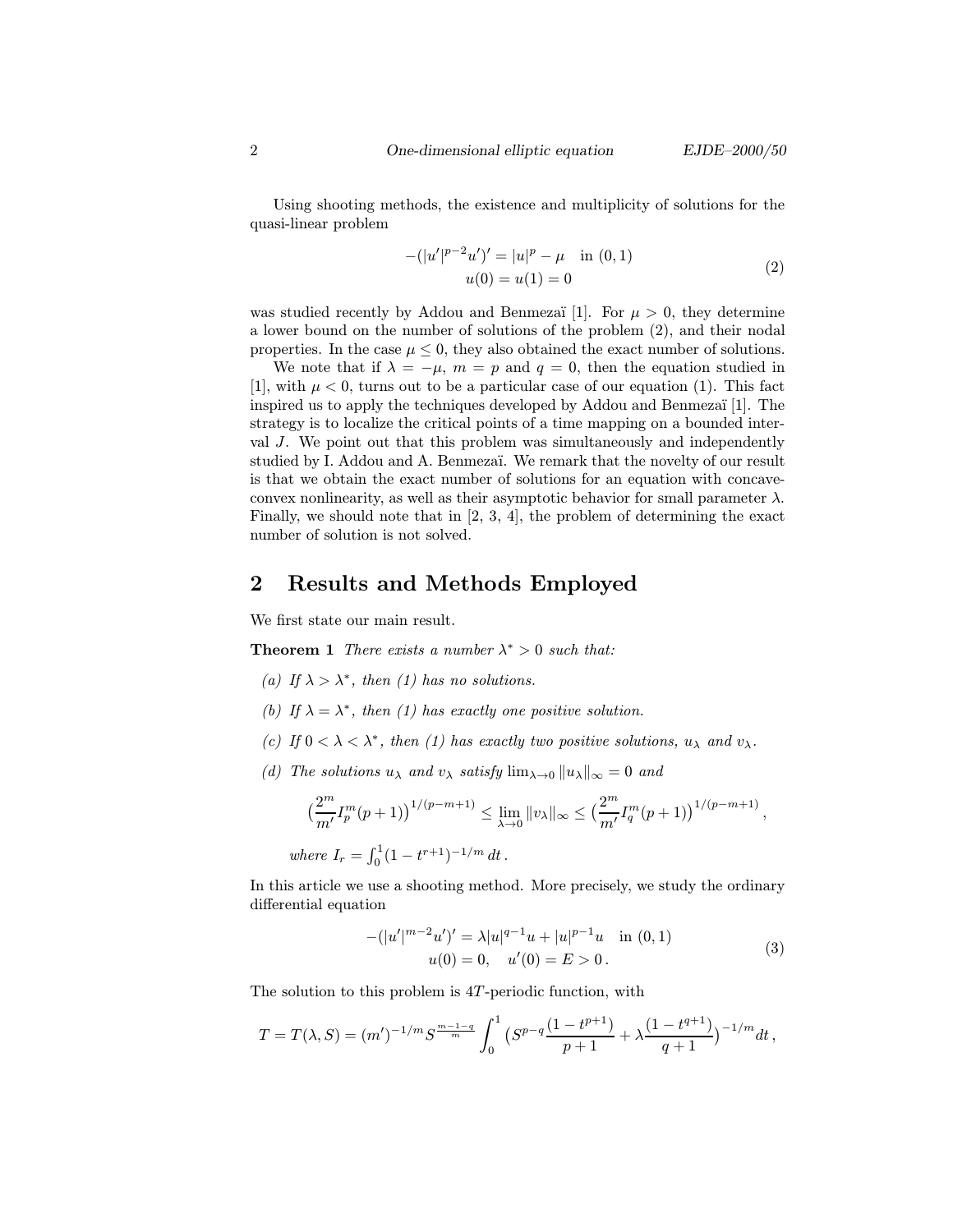Using shooting methods, the existence and multiplicity of solutions for the quasi-linear problem

$$
-(|u'|^{p-2}u')' = |u|^p - \mu \quad \text{in } (0,1)
$$
  

$$
u(0) = u(1) = 0
$$
 (2)

was studied recently by Addou and Benmezaï [1]. For  $\mu > 0$ , they determine a lower bound on the number of solutions of the problem (2), and their nodal properties. In the case  $\mu \leq 0$ , they also obtained the exact number of solutions.

We note that if  $\lambda = -\mu$ ,  $m = p$  and  $q = 0$ , then the equation studied in [1], with  $\mu < 0$ , turns out to be a particular case of our equation (1). This fact inspired us to apply the techniques developed by  $Addou$  and Benmezaï [1]. The strategy is to localize the critical points of a time mapping on a bounded interval J. We point out that this problem was simultaneously and independently studied by I. Addou and A. Benmezaï. We remark that the novelty of our result is that we obtain the exact number of solutions for an equation with concaveconvex nonlinearity, as well as their asymptotic behavior for small parameter  $\lambda$ . Finally, we should note that in  $[2, 3, 4]$ , the problem of determining the exact number of solution is not solved.

### 2 Results and Methods Employed

We first state our main result.

**Theorem 1** There exists a number  $\lambda^* > 0$  such that:

- (a) If  $\lambda > \lambda^*$ , then (1) has no solutions.
- (b) If  $\lambda = \lambda^*$ , then (1) has exactly one positive solution.
- (c) If  $0 < \lambda < \lambda^*$ , then (1) has exactly two positive solutions,  $u_{\lambda}$  and  $v_{\lambda}$ .
- (d) The solutions  $u_{\lambda}$  and  $v_{\lambda}$  satisfy  $\lim_{\lambda\to 0}||u_{\lambda}||_{\infty}=0$  and

$$
\left(\frac{2^m}{m'}I_p^m(p+1)\right)^{1/(p-m+1)} \leq \lim_{\lambda \to 0} ||v_\lambda||_{\infty} \leq \left(\frac{2^m}{m'}I_q^m(p+1)\right)^{1/(p-m+1)},
$$
  
where  $I = \int_0^1 (1 - t^{r+1})^{-1/m} dt$ 

where  $I_r = \int_0^1 (1 - t^{r+1})^{-1/m} dt$ .

In this article we use a shooting method. More precisely, we study the ordinary differential equation

$$
-(|u'|^{m-2}u')' = \lambda |u|^{q-1}u + |u|^{p-1}u \text{ in } (0,1)
$$
  
 
$$
u(0) = 0, \quad u'(0) = E > 0.
$$
 (3)

The solution to this problem is  $4T$ -periodic function, with

$$
T = T(\lambda, S) = (m')^{-1/m} S^{\frac{m-1-q}{m}} \int_0^1 \left( S^{p-q} \frac{(1-t^{p+1})}{p+1} + \lambda \frac{(1-t^{q+1})}{q+1} \right)^{-1/m} dt,
$$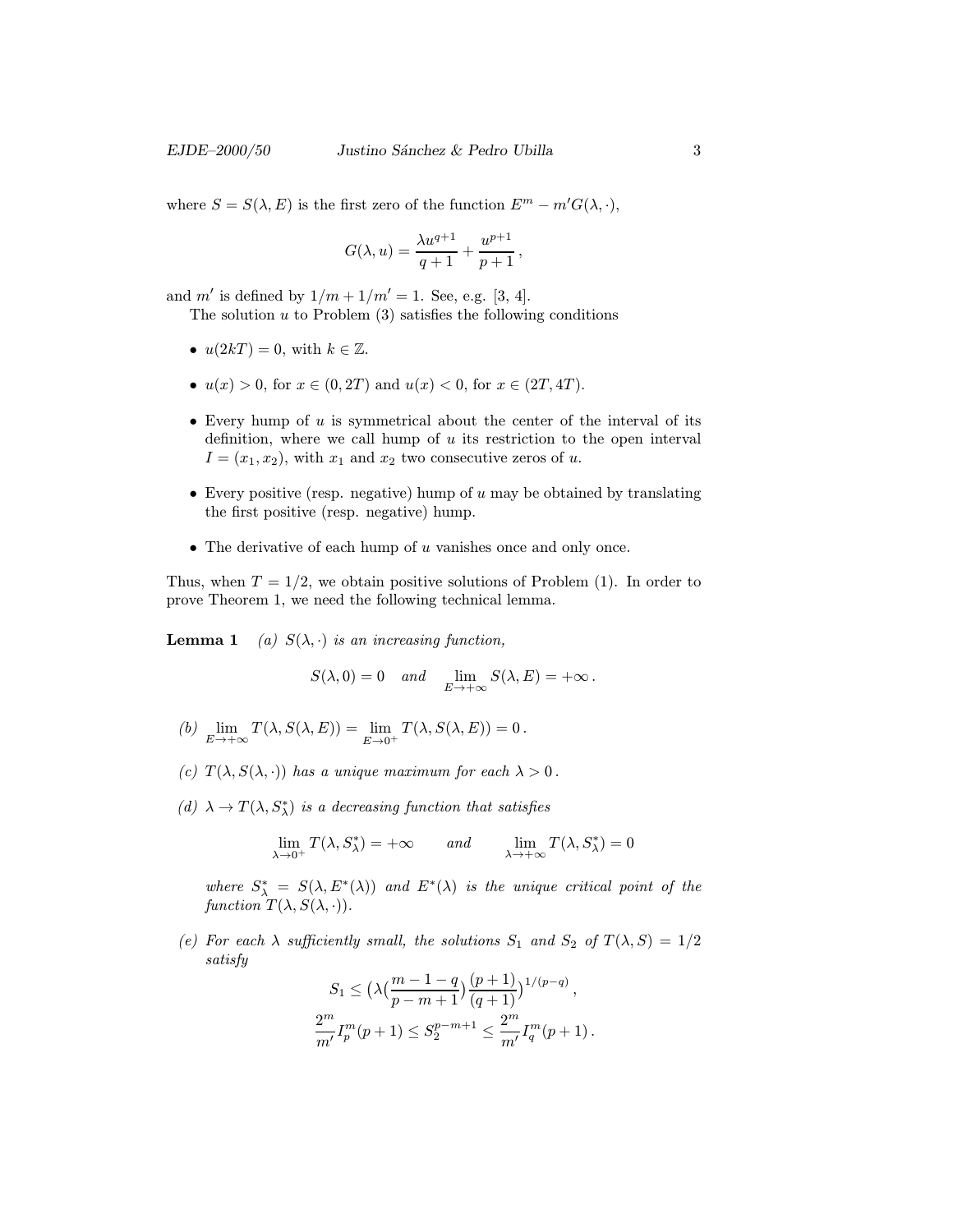where  $S = S(\lambda, E)$  is the first zero of the function  $E^m - m' G(\lambda, \cdot)$ ,

$$
G(\lambda, u) = \frac{\lambda u^{q+1}}{q+1} + \frac{u^{p+1}}{p+1},
$$

and m' is defined by  $1/m + 1/m' = 1$ . See, e.g. [3, 4].

The solution  $u$  to Problem  $(3)$  satisfies the following conditions

- $u(2kT) = 0$ , with  $k \in \mathbb{Z}$ .
- $u(x) > 0$ , for  $x \in (0, 2T)$  and  $u(x) < 0$ , for  $x \in (2T, 4T)$ .
- Every hump of  $u$  is symmetrical about the center of the interval of its definition, where we call hump of  $u$  its restriction to the open interval  $I = (x_1, x_2)$ , with  $x_1$  and  $x_2$  two consecutive zeros of u.
- Every positive (resp. negative) hump of  $u$  may be obtained by translating the first positive (resp. negative) hump.
- $\bullet$  The derivative of each hump of  $u$  vanishes once and only once.

Thus, when  $T = 1/2$ , we obtain positive solutions of Problem (1). In order to prove Theorem 1, we need the following technical lemma.

**Lemma 1** (a)  $S(\lambda, \cdot)$  is an increasing function,

$$
S(\lambda,0)=0 \quad and \quad \lim_{E\to+\infty} S(\lambda,E)=+\infty\,.
$$

- (b)  $\lim_{E \to +\infty} T(\lambda, S(\lambda, E)) = \lim_{E \to 0^+} T(\lambda, S(\lambda, E)) = 0$ .
- (c)  $T(\lambda, S(\lambda, \cdot))$  has a unique maximum for each  $\lambda > 0$ .
- (d)  $\lambda \to T(\lambda, S_{\lambda}^*)$  is a decreasing function that satisfies

$$
\lim_{\lambda \to 0^+} T(\lambda, S^*_{\lambda}) = +\infty \quad \text{and} \quad \lim_{\lambda \to +\infty} T(\lambda, S^*_{\lambda}) = 0
$$

where  $S^*_{\lambda} = S(\lambda, E^*(\lambda))$  and  $E^*(\lambda)$  is the unique critical point of the function  $T(\lambda, S(\lambda, \cdot)).$ 

(e) For each  $\lambda$  sufficiently small, the solutions  $S_1$  and  $S_2$  of  $T(\lambda, S)=1/2$ satisfy

$$
S_1 \le \left(\lambda \left(\frac{m-1-q}{p-m+1}\right)\frac{(p+1)}{(q+1)}\right)^{1/(p-q)},
$$
  

$$
\frac{2^m}{m'}I_p^m(p+1) \le S_2^{p-m+1} \le \frac{2^m}{m'}I_q^m(p+1).
$$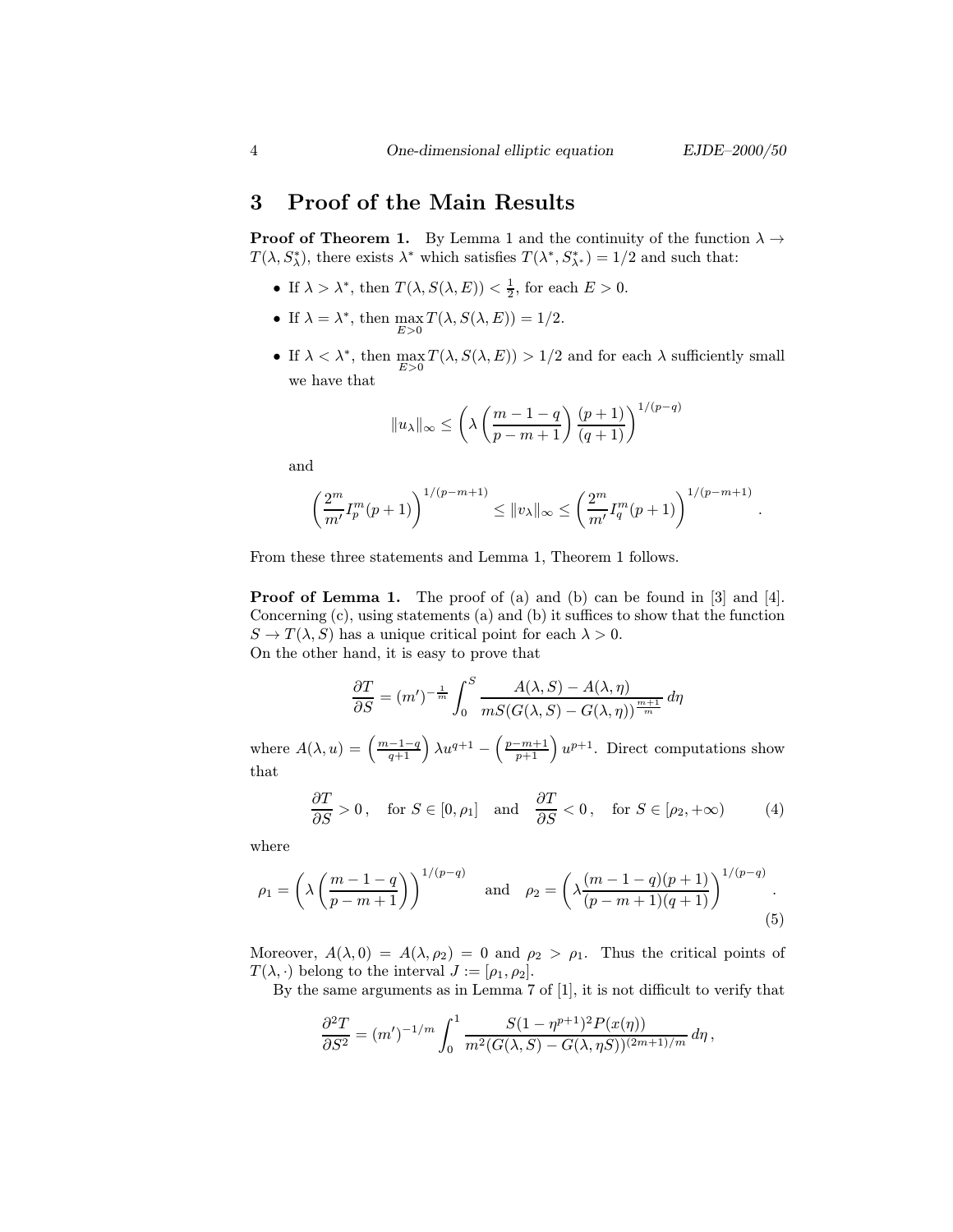#### 3 Proof of the Main Results

**Proof of Theorem 1.** By Lemma 1 and the continuity of the function  $\lambda \rightarrow$  $T(\lambda, S_{\lambda}^*)$ , there exists  $\lambda^*$  which satisfies  $T(\lambda^*, S_{\lambda^*}^*) = 1/2$  and such that:

- If  $\lambda > \lambda^*$ , then  $T(\lambda, S(\lambda, E)) < \frac{1}{2}$ , for each  $E > 0$ .
- If  $\lambda = \lambda^*$ , then  $\max_{E>0} T(\lambda, S(\lambda, E)) = 1/2$ .
- If  $\lambda < \lambda^*$ , then  $\max_{E>0} T(\lambda, S(\lambda, E)) > 1/2$  and for each  $\lambda$  sufficiently small we have that

$$
||u_\lambda||_\infty \le \left(\lambda \left(\frac{m-1-q}{p-m+1}\right)\frac{(p+1)}{(q+1)}\right)^{1/(p-q)}
$$

and

$$
\left(\frac{2^m}{m'}I_p^m(p+1)\right)^{1/(p-m+1)} \leq \|v_\lambda\|_\infty \leq \left(\frac{2^m}{m'}I_q^m(p+1)\right)^{1/(p-m+1)}.
$$

From these three statements and Lemma 1, Theorem 1 follows.

Proof of Lemma 1. The proof of (a) and (b) can be found in [3] and [4]. Concerning (c), using statements (a) and (b) it suffices to show that the function  $S \to T(\lambda, S)$  has a unique critical point for each  $\lambda > 0$ . On the other hand, it is easy to prove that

$$
\frac{\partial T}{\partial S} = (m')^{-\frac{1}{m}} \int_0^S \frac{A(\lambda, S) - A(\lambda, \eta)}{mS(G(\lambda, S) - G(\lambda, \eta))^{\frac{m+1}{m}}} d\eta
$$

where  $A(\lambda, u) = \left(\frac{m-1-q}{q+1}\right) \lambda u^{q+1} - \left(\frac{p-m+1}{p+1}\right) u^{p+1}$ . Direct computations show that

$$
\frac{\partial T}{\partial S} > 0, \quad \text{for } S \in [0, \rho_1] \quad \text{and} \quad \frac{\partial T}{\partial S} < 0, \quad \text{for } S \in [\rho_2, +\infty)
$$
 (4)

where

$$
\rho_1 = \left(\lambda \left(\frac{m-1-q}{p-m+1}\right)\right)^{1/(p-q)} \quad \text{and} \quad \rho_2 = \left(\lambda \frac{(m-1-q)(p+1)}{(p-m+1)(q+1)}\right)^{1/(p-q)}.
$$
\n(5)

Moreover,  $A(\lambda, 0) = A(\lambda, \rho_2) = 0$  and  $\rho_2 > \rho_1$ . Thus the critical points of  $T(\lambda, \cdot)$  belong to the interval  $J := [\rho_1, \rho_2]$ .

By the same arguments as in Lemma 7 of [1], it is not difficult to verify that

$$
\frac{\partial^2 T}{\partial S^2} = (m')^{-1/m} \int_0^1 \frac{S(1 - \eta^{p+1})^2 P(x(\eta))}{m^2 (G(\lambda, S) - G(\lambda, \eta S))^{(2m+1)/m}} d\eta,
$$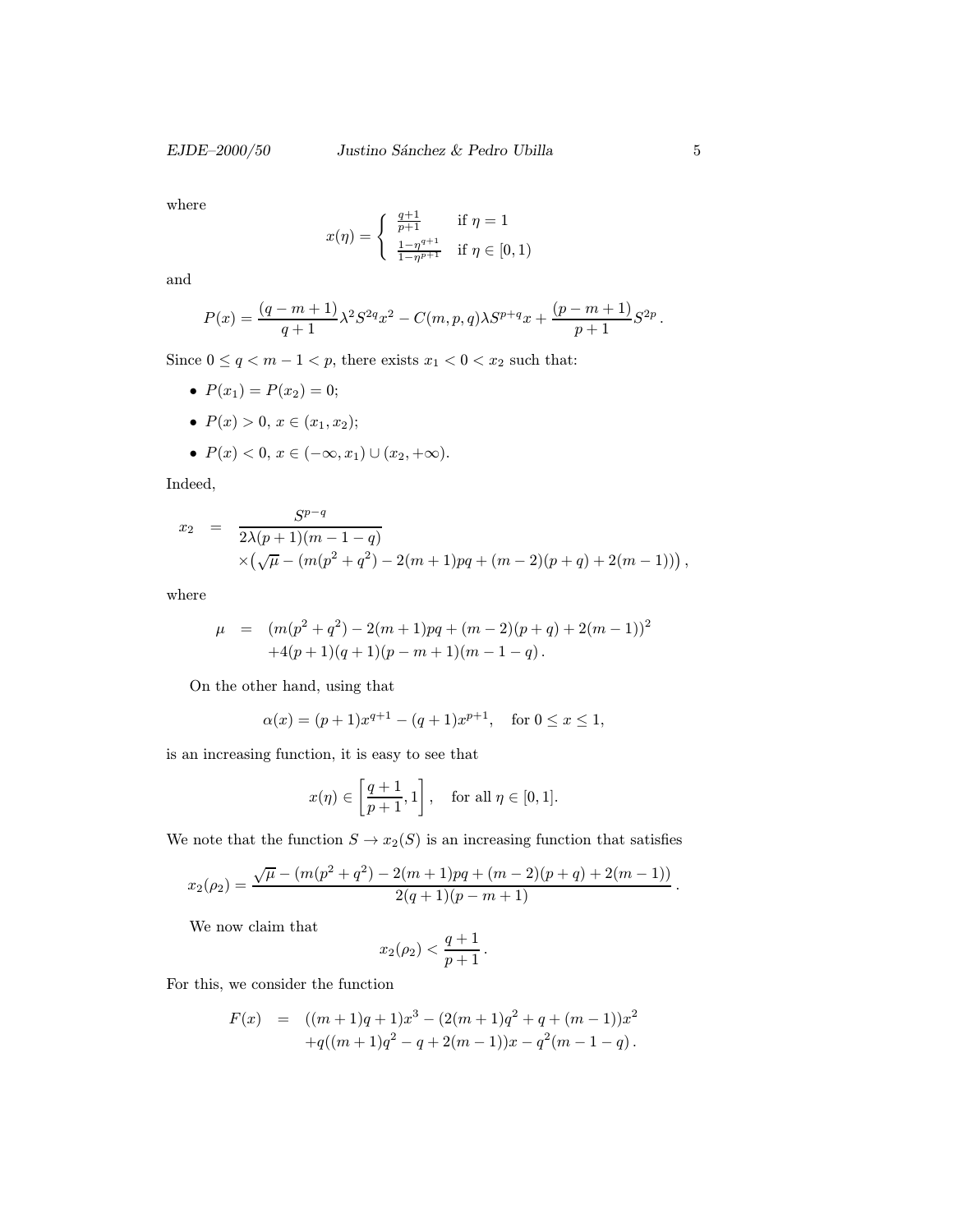where

$$
x(\eta) = \begin{cases} \frac{q+1}{p+1} & \text{if } \eta = 1\\ \frac{1-\eta^{q+1}}{1-\eta^{p+1}} & \text{if } \eta \in [0,1) \end{cases}
$$

and

$$
P(x) = \frac{(q-m+1)}{q+1} \lambda^2 S^{2q} x^2 - C(m,p,q) \lambda S^{p+q} x + \frac{(p-m+1)}{p+1} S^{2p}.
$$

Since  $0\leq q < m-1 < p,$  there exists  $x_1 < 0 < x_2$  such that:

- $P(x_1) = P(x_2) = 0;$
- $P(x) > 0, x \in (x_1, x_2);$
- $P(x) < 0, x \in (-\infty, x_1) \cup (x_2, +\infty).$

Indeed,

$$
x_2 = \frac{S^{p-q}}{2\lambda(p+1)(m-1-q)} \times \left(\sqrt{\mu} - (m(p^2+q^2) - 2(m+1)pq + (m-2)(p+q) + 2(m-1))\right),
$$

where

$$
\mu = (m(p^2 + q^2) - 2(m+1)pq + (m-2)(p+q) + 2(m-1))^2
$$
  
+4(p+1)(q+1)(p-m+1)(m-1-q).

On the other hand, using that

$$
\alpha(x) = (p+1)x^{q+1} - (q+1)x^{p+1}, \text{ for } 0 \le x \le 1,
$$

is an increasing function, it is easy to see that

$$
x(\eta) \in \left[\frac{q+1}{p+1}, 1\right], \quad \text{for all } \eta \in [0, 1].
$$

We note that the function  $S \to x_2(S)$  is an increasing function that satisfies

$$
x_2(\rho_2)=\frac{\sqrt{\mu}-(m(p^2+q^2)-2(m+1)pq+(m-2)(p+q)+2(m-1))}{2(q+1)(p-m+1)}.
$$

We now claim that

$$
x_2(\rho_2) < \frac{q+1}{p+1}.
$$

For this, we consider the function

$$
F(x) = ((m+1)q + 1)x3 - (2(m+1)q2 + q + (m-1))x2
$$
  
+q((m+1)q<sup>2</sup> - q + 2(m-1))x - q<sup>2</sup>(m-1-q).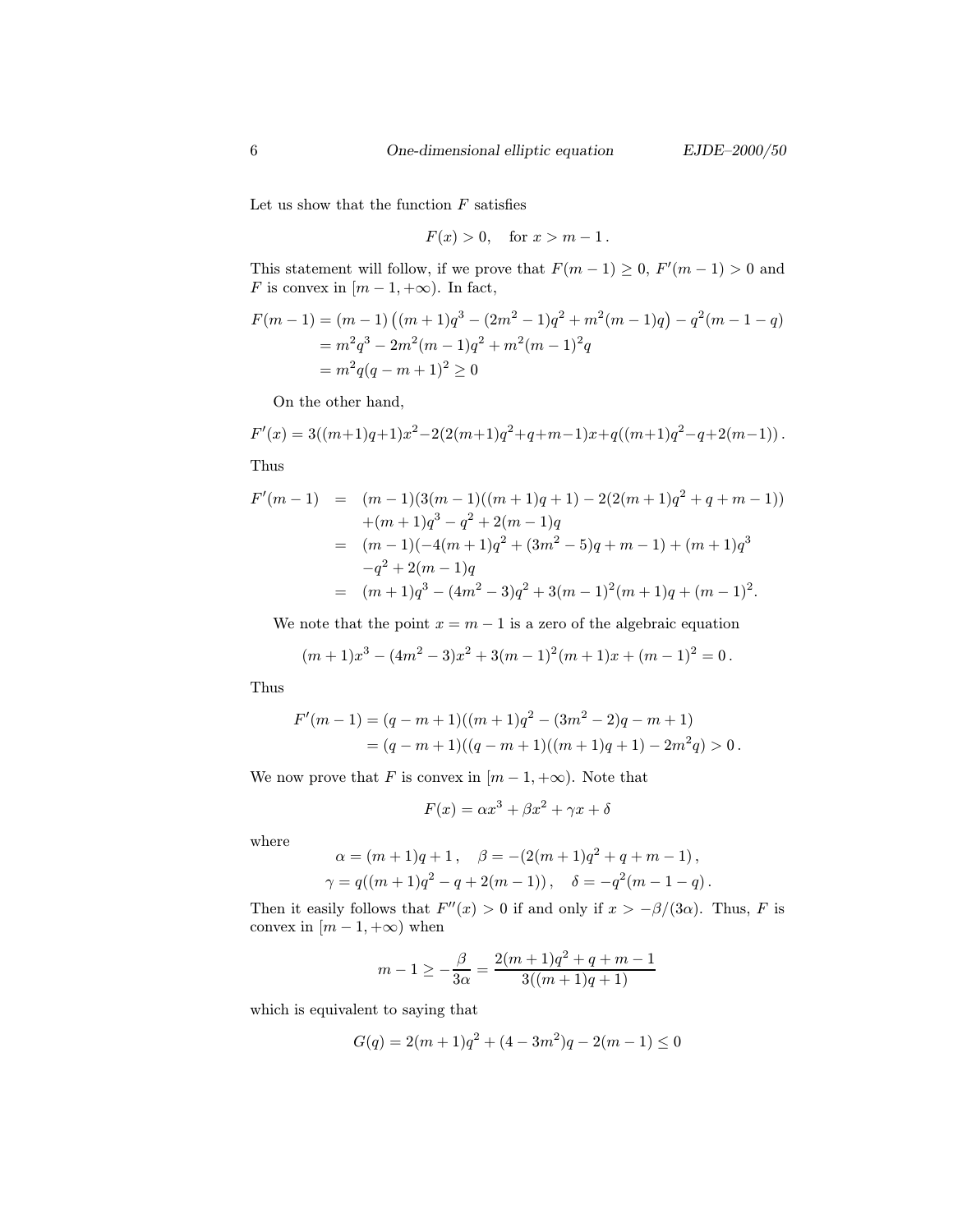Let us show that the function  $F$  satisfies

$$
F(x) > 0, \quad \text{for } x > m - 1.
$$

This statement will follow, if we prove that  $F(m-1) \geq 0$ ,  $F'(m-1) > 0$  and F is convex in  $[m-1, +\infty)$ . In fact,

$$
F(m-1) = (m-1) ((m+1)q3 - (2m2 - 1)q2 + m2(m-1)q) - q2(m-1-q)
$$
  
=  $m2q3 - 2m2(m-1)q2 + m2(m-1)2q$   
=  $m2q(q - m + 1)2 \ge 0$ 

On the other hand,

$$
F'(x) = 3((m+1)q+1)x^{2} - 2(2(m+1)q^{2} + q + m - 1)x + q((m+1)q^{2} - q + 2(m-1)).
$$

Thus

$$
F'(m-1) = (m-1)(3(m-1)((m+1)q+1) - 2(2(m+1)q^2 + q + m - 1))
$$
  
+
$$
(m+1)q^3 - q^2 + 2(m-1)q
$$
  
= 
$$
(m-1)(-4(m+1)q^2 + (3m^2 - 5)q + m - 1) + (m+1)q^3
$$
  

$$
-q^2 + 2(m-1)q
$$
  
= 
$$
(m+1)q^3 - (4m^2 - 3)q^2 + 3(m-1)^2(m+1)q + (m-1)^2.
$$

We note that the point  $x = m - 1$  is a zero of the algebraic equation

$$
(m+1)x3 - (4m2 - 3)x2 + 3(m - 1)2(m + 1)x + (m - 1)2 = 0.
$$

Thus

$$
F'(m-1) = (q-m+1)((m+1)q2 - (3m2 – 2)q - m + 1)
$$
  
= (q-m+1)((q-m+1)((m+1)q + 1) – 2m<sup>2</sup>q) > 0.

We now prove that F is convex in  $[m-1, +\infty)$ . Note that

$$
F(x) = \alpha x^3 + \beta x^2 + \gamma x + \delta
$$

where

$$
\alpha = (m+1)q + 1, \quad \beta = -(2(m+1)q^2 + q + m - 1),
$$
  

$$
\gamma = q((m+1)q^2 - q + 2(m-1)), \quad \delta = -q^2(m-1-q).
$$

Then it easily follows that  $F''(x) > 0$  if and only if  $x > -\beta/(3\alpha)$ . Thus, F is convex in  $[m-1, +\infty)$  when

$$
m-1 \ge -\frac{\beta}{3\alpha} = \frac{2(m+1)q^2 + q + m - 1}{3((m+1)q + 1)}
$$

which is equivalent to saying that

$$
G(q) = 2(m+1)q^{2} + (4-3m^{2})q - 2(m-1) \le 0
$$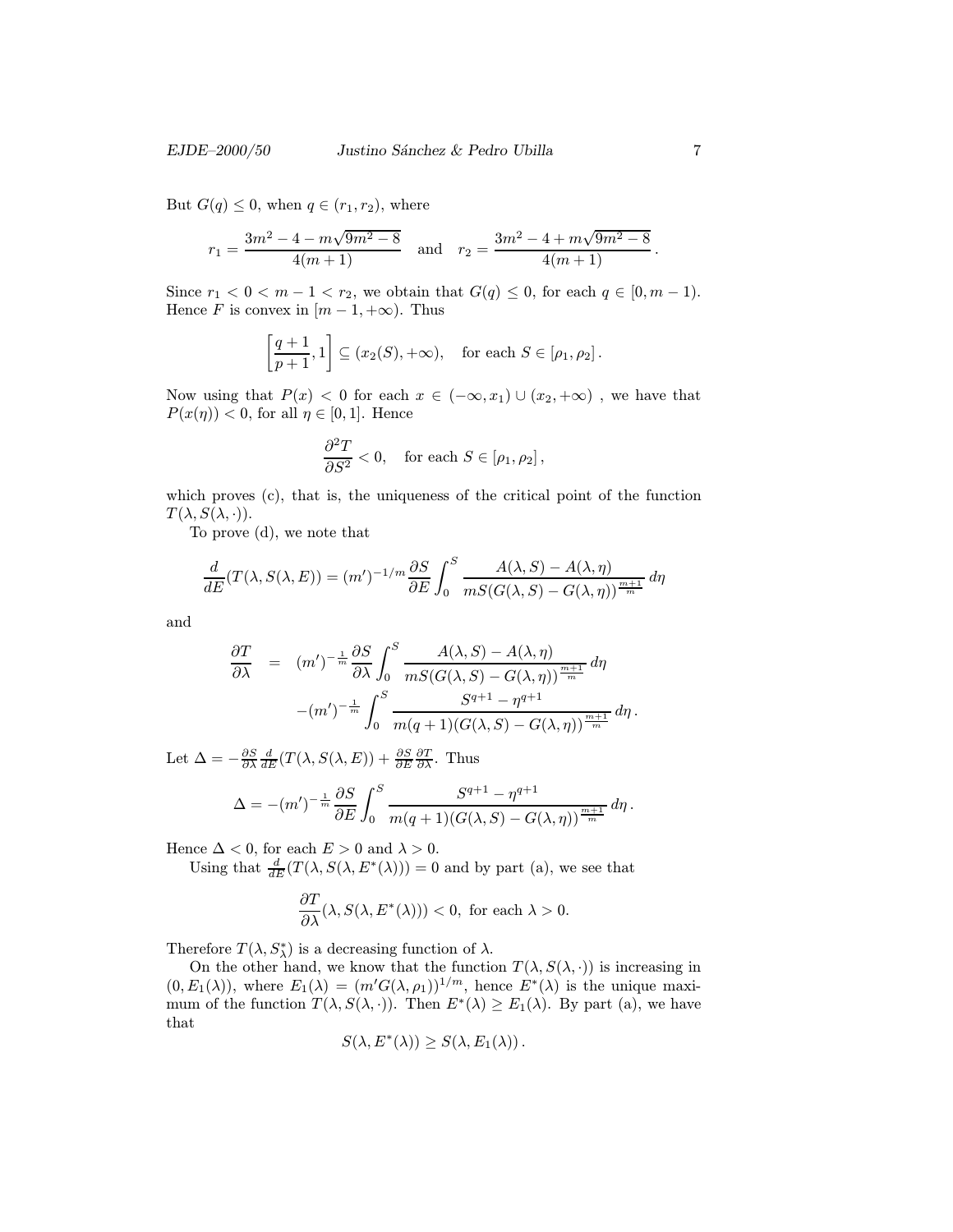But  $G(q) \leq 0$ , when  $q \in (r_1, r_2)$ , where

$$
r_1 = \frac{3m^2 - 4 - m\sqrt{9m^2 - 8}}{4(m+1)}
$$
 and  $r_2 = \frac{3m^2 - 4 + m\sqrt{9m^2 - 8}}{4(m+1)}$ .

Since  $r_1 < 0 < m-1 < r_2$ , we obtain that  $G(q) \leq 0$ , for each  $q \in [0, m-1)$ . Hence F is convex in  $[m-1, +\infty)$ . Thus

$$
\left[\frac{q+1}{p+1},1\right] \subseteq (x_2(S),+\infty), \text{ for each } S \in [\rho_1,\rho_2].
$$

Now using that  $P(x) < 0$  for each  $x \in (-\infty, x_1) \cup (x_2, +\infty)$ , we have that  $P(x(\eta)) < 0$ , for all  $\eta \in [0,1]$ . Hence

$$
\frac{\partial^2 T}{\partial S^2} < 0, \quad \text{for each } S \in [\rho_1, \rho_2],
$$

which proves (c), that is, the uniqueness of the critical point of the function  $T(\lambda, S(\lambda, \cdot)).$ 

To prove (d), we note that

$$
\frac{d}{dE}(T(\lambda, S(\lambda, E)) = (m')^{-1/m} \frac{\partial S}{\partial E} \int_0^S \frac{A(\lambda, S) - A(\lambda, \eta)}{mS(G(\lambda, S) - G(\lambda, \eta))^{\frac{m+1}{m}}} d\eta
$$

and

$$
\frac{\partial T}{\partial \lambda} = (m')^{-\frac{1}{m}} \frac{\partial S}{\partial \lambda} \int_0^S \frac{A(\lambda, S) - A(\lambda, \eta)}{m S(G(\lambda, S) - G(\lambda, \eta))^{\frac{m+1}{m}}} d\eta
$$

$$
-(m')^{-\frac{1}{m}} \int_0^S \frac{S^{q+1} - \eta^{q+1}}{m(q+1)(G(\lambda, S) - G(\lambda, \eta))^{\frac{m+1}{m}}} d\eta.
$$

Let  $\Delta = -\frac{\partial S}{\partial \lambda} \frac{d}{dE} (T(\lambda, S(\lambda, E)) + \frac{\partial S}{\partial E} \frac{\partial T}{\partial \lambda}$ . Thus

$$
\Delta = -(m')^{-\frac{1}{m}} \frac{\partial S}{\partial E} \int_0^S \frac{S^{q+1} - \eta^{q+1}}{m(q+1)(G(\lambda, S) - G(\lambda, \eta))^{\frac{m+1}{m}}} d\eta.
$$

Hence  $\Delta < 0$ , for each  $E > 0$  and  $\lambda > 0$ .

Using that  $\frac{d}{dE}(T(\lambda, S(\lambda, E^*(\lambda)))) = 0$  and by part (a), we see that

$$
\frac{\partial T}{\partial \lambda}(\lambda,S(\lambda,E^*(\lambda)))<0, \text{ for each }\lambda>0.
$$

Therefore  $T(\lambda, S^*_{\lambda})$  is a decreasing function of  $\lambda$ .

On the other hand, we know that the function  $T(\lambda, S(\lambda, \cdot))$  is increasing in  $(0, E_1(\lambda))$ , where  $E_1(\lambda) = (m'G(\lambda, \rho_1))^{1/m}$ , hence  $E^*(\lambda)$  is the unique maximum of the function  $T(\lambda, S(\lambda, \cdot))$ . Then  $E^*(\lambda) \ge E_1(\lambda)$ . By part (a), we have that

$$
S(\lambda, E^*(\lambda)) \ge S(\lambda, E_1(\lambda)).
$$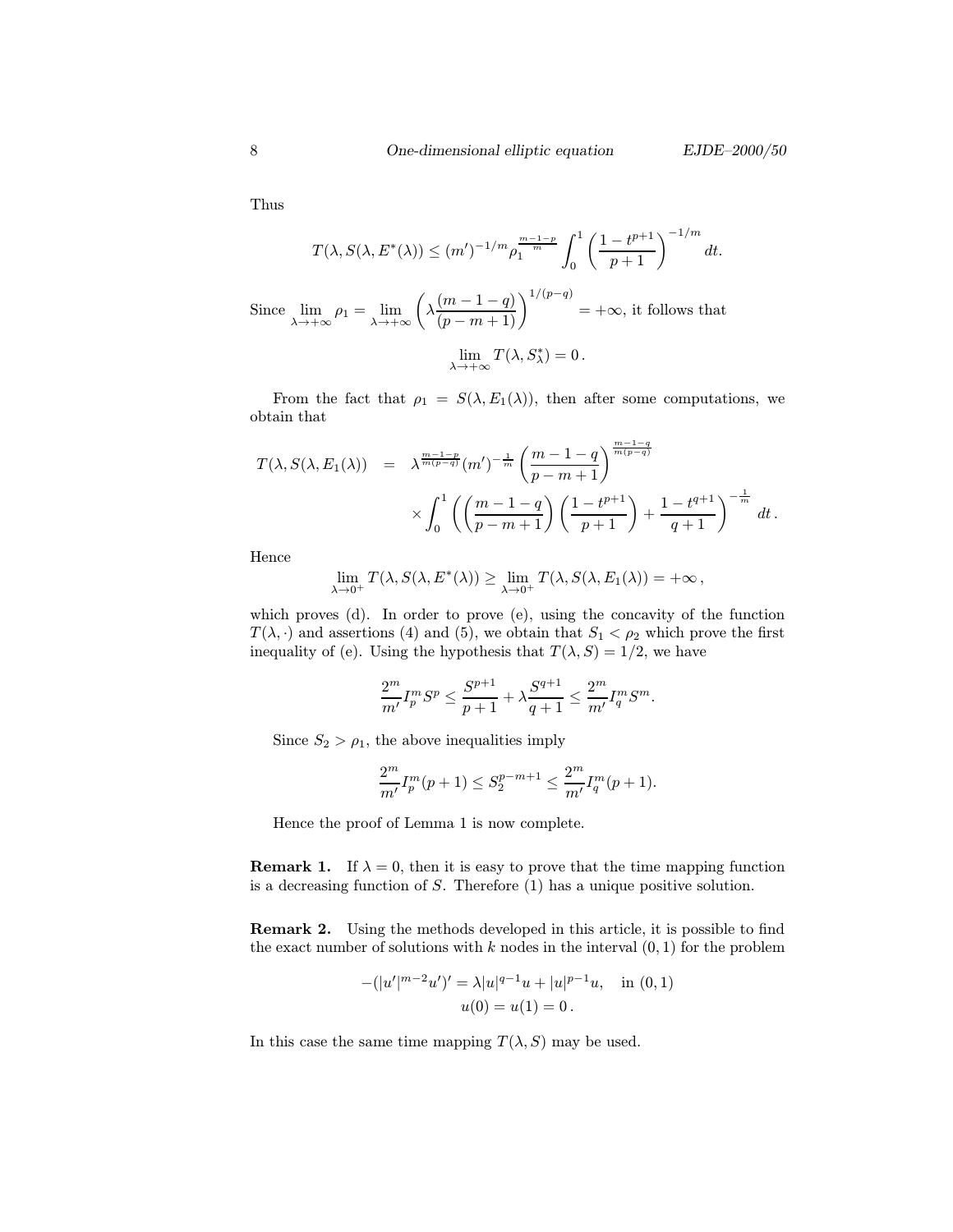Thus

$$
T(\lambda, S(\lambda, E^*(\lambda))) \le (m')^{-1/m} \rho_1^{\frac{m-1-p}{m}} \int_0^1 \left(\frac{1-t^{p+1}}{p+1}\right)^{-1/m} dt.
$$
  
Since  $\lim_{\lambda \to +\infty} \rho_1 = \lim_{\lambda \to +\infty} \left(\lambda \frac{(m-1-q)}{(p-m+1)}\right)^{1/(p-q)} = +\infty$ , it follows that  
 $\lim_{\lambda \to +\infty} T(\lambda, S^*_\lambda) = 0.$ 

From the fact that  $\rho_1 = S(\lambda, E_1(\lambda))$ , then after some computations, we obtain that

$$
T(\lambda, S(\lambda, E_1(\lambda)) = \lambda^{\frac{m-1-p}{m(p-q)}} (m')^{-\frac{1}{m}} \left(\frac{m-1-q}{p-m+1}\right)^{\frac{m-1-q}{m(p-q)}} \times \int_0^1 \left(\left(\frac{m-1-q}{p-m+1}\right) \left(\frac{1-t^{p+1}}{p+1}\right) + \frac{1-t^{q+1}}{q+1}\right)^{-\frac{1}{m}} dt.
$$

Hence

$$
\lim_{\lambda \to 0^+} T(\lambda, S(\lambda, E^*(\lambda)) \ge \lim_{\lambda \to 0^+} T(\lambda, S(\lambda, E_1(\lambda)) = +\infty,
$$

which proves (d). In order to prove (e), using the concavity of the function  $T(\lambda, \cdot)$  and assertions (4) and (5), we obtain that  $S_1 < \rho_2$  which prove the first inequality of (e). Using the hypothesis that  $T(\lambda, S)=1/2$ , we have

$$
\frac{2^m}{m'}I_p^mS^p\leq \frac{S^{p+1}}{p+1}+\lambda\frac{S^{q+1}}{q+1}\leq \frac{2^m}{m'}I_q^mS^m.
$$

Since  $S_2 > \rho_1$ , the above inequalities imply

$$
\frac{2^m}{m'}I_p^m(p+1) \le S_2^{p-m+1} \le \frac{2^m}{m'}I_q^m(p+1).
$$

Hence the proof of Lemma 1 is now complete.

**Remark 1.** If  $\lambda = 0$ , then it is easy to prove that the time mapping function is a decreasing function of S. Therefore (1) has a unique positive solution.

Remark 2. Using the methods developed in this article, it is possible to find the exact number of solutions with  $k$  nodes in the interval  $(0, 1)$  for the problem

$$
-(|u'|^{m-2}u')' = \lambda |u|^{q-1}u + |u|^{p-1}u, \text{ in } (0,1)
$$

$$
u(0) = u(1) = 0.
$$

In this case the same time mapping  $T(\lambda, S)$  may be used.